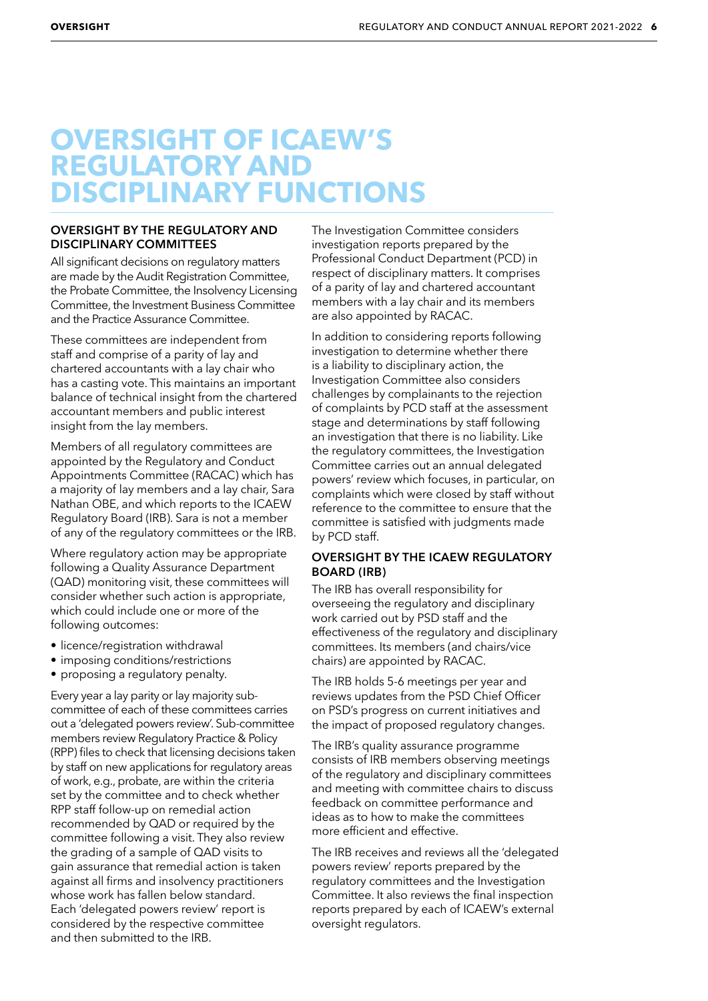## **OVERSIGHT OF ICAEW'S REGULATORY AND DISCIPLINARY FUNCTIONS**

## **OVERSIGHT BY THE REGULATORY AND DISCIPLINARY COMMITTEES**

All significant decisions on regulatory matters are made by the Audit Registration Committee, the Probate Committee, the Insolvency Licensing Committee, the Investment Business Committee and the Practice Assurance Committee.

These committees are independent from staff and comprise of a parity of lay and chartered accountants with a lay chair who has a casting vote. This maintains an important balance of technical insight from the chartered accountant members and public interest insight from the lay members.

Members of all regulatory committees are appointed by the Regulatory and Conduct Appointments Committee (RACAC) which has a majority of lay members and a lay chair, Sara Nathan OBE, and which reports to the ICAEW Regulatory Board (IRB). Sara is not a member of any of the regulatory committees or the IRB.

Where regulatory action may be appropriate following a Quality Assurance Department (QAD) monitoring visit, these committees will consider whether such action is appropriate, which could include one or more of the following outcomes:

- licence/registration withdrawal
- imposing conditions/restrictions
- proposing a regulatory penalty.

Every year a lay parity or lay majority subcommittee of each of these committees carries out a 'delegated powers review'. Sub-committee members review Regulatory Practice & Policy (RPP) files to check that licensing decisions taken by staff on new applications for regulatory areas of work, e.g., probate, are within the criteria set by the committee and to check whether RPP staff follow-up on remedial action recommended by QAD or required by the committee following a visit. They also review the grading of a sample of QAD visits to gain assurance that remedial action is taken against all firms and insolvency practitioners whose work has fallen below standard. Each 'delegated powers review' report is considered by the respective committee and then submitted to the IRB.

The Investigation Committee considers investigation reports prepared by the Professional Conduct Department (PCD) in respect of disciplinary matters. It comprises of a parity of lay and chartered accountant members with a lay chair and its members are also appointed by RACAC.

In addition to considering reports following investigation to determine whether there is a liability to disciplinary action, the Investigation Committee also considers challenges by complainants to the rejection of complaints by PCD staff at the assessment stage and determinations by staff following an investigation that there is no liability. Like the regulatory committees, the Investigation Committee carries out an annual delegated powers' review which focuses, in particular, on complaints which were closed by staff without reference to the committee to ensure that the committee is satisfied with judgments made by PCD staff.

## **OVERSIGHT BY THE ICAEW REGULATORY BOARD (IRB)**

The IRB has overall responsibility for overseeing the regulatory and disciplinary work carried out by PSD staff and the effectiveness of the regulatory and disciplinary committees. Its members (and chairs/vice chairs) are appointed by RACAC.

The IRB holds 5-6 meetings per year and reviews updates from the PSD Chief Officer on PSD's progress on current initiatives and the impact of proposed regulatory changes.

The IRB's quality assurance programme consists of IRB members observing meetings of the regulatory and disciplinary committees and meeting with committee chairs to discuss feedback on committee performance and ideas as to how to make the committees more efficient and effective.

The IRB receives and reviews all the 'delegated powers review' reports prepared by the regulatory committees and the Investigation Committee. It also reviews the final inspection reports prepared by each of ICAEW's external oversight regulators.